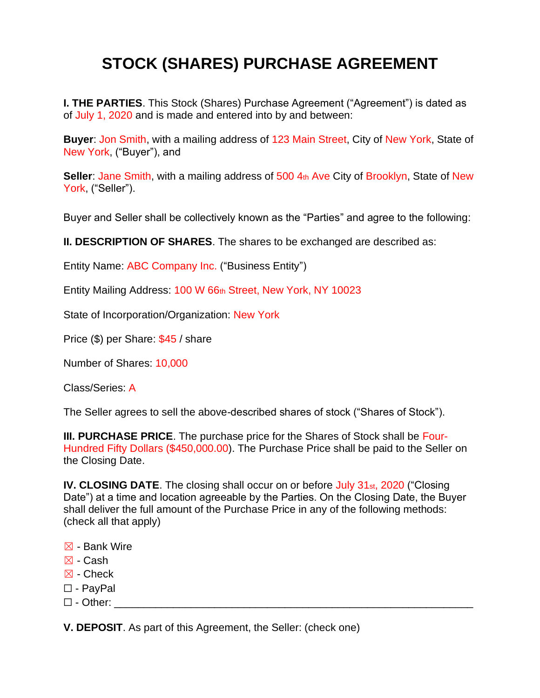## **STOCK (SHARES) PURCHASE AGREEMENT**

**I. THE PARTIES**. This Stock (Shares) Purchase Agreement ("Agreement") is dated as of July 1, 2020 and is made and entered into by and between:

**Buyer**: Jon Smith, with a mailing address of 123 Main Street, City of New York, State of New York, ("Buyer"), and

**Seller:** Jane Smith, with a mailing address of 500 4th Ave City of Brooklyn, State of New York, ("Seller").

Buyer and Seller shall be collectively known as the "Parties" and agree to the following:

**II. DESCRIPTION OF SHARES**. The shares to be exchanged are described as:

Entity Name: ABC Company Inc. ("Business Entity")

Entity Mailing Address: 100 W 66th Street, New York, NY 10023

State of Incorporation/Organization: New York

Price (\$) per Share: \$45 / share

Number of Shares: 10,000

Class/Series: A

The Seller agrees to sell the above-described shares of stock ("Shares of Stock").

**III. PURCHASE PRICE**. The purchase price for the Shares of Stock shall be Four-Hundred Fifty Dollars (\$450,000.00). The Purchase Price shall be paid to the Seller on the Closing Date.

**IV. CLOSING DATE**. The closing shall occur on or before July 31<sub>st</sub>, 2020 ("Closing Date") at a time and location agreeable by the Parties. On the Closing Date, the Buyer shall deliver the full amount of the Purchase Price in any of the following methods: (check all that apply)

- ☒ Bank Wire
- $\boxtimes$  Cash
- ☒ Check
- ☐ PayPal
- $\square$  Other:

**V. DEPOSIT**. As part of this Agreement, the Seller: (check one)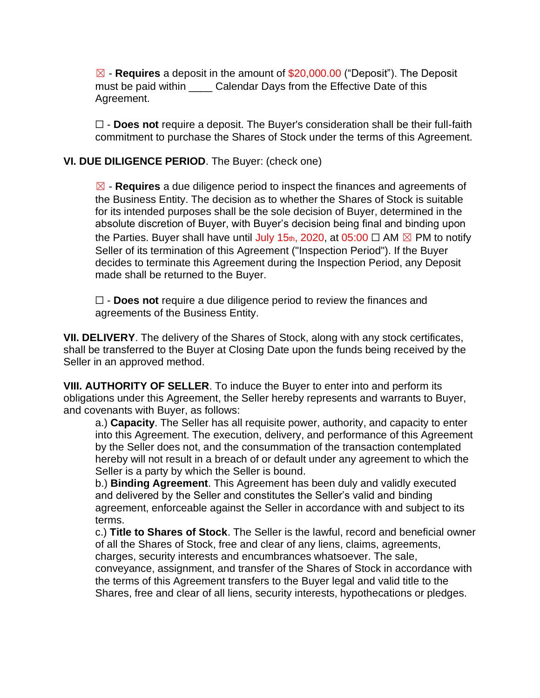☒ - **Requires** a deposit in the amount of \$20,000.00 ("Deposit"). The Deposit must be paid within **Calendar Days from the Effective Date of this** Agreement.

☐ - **Does not** require a deposit. The Buyer's consideration shall be their full-faith commitment to purchase the Shares of Stock under the terms of this Agreement.

## **VI. DUE DILIGENCE PERIOD**. The Buyer: (check one)

☒ - **Requires** a due diligence period to inspect the finances and agreements of the Business Entity. The decision as to whether the Shares of Stock is suitable for its intended purposes shall be the sole decision of Buyer, determined in the absolute discretion of Buyer, with Buyer's decision being final and binding upon the Parties. Buyer shall have until July 15th, 2020, at 05:00  $\Box$  AM  $\boxtimes$  PM to notify Seller of its termination of this Agreement ("Inspection Period"). If the Buyer decides to terminate this Agreement during the Inspection Period, any Deposit made shall be returned to the Buyer.

☐ - **Does not** require a due diligence period to review the finances and agreements of the Business Entity.

**VII. DELIVERY**. The delivery of the Shares of Stock, along with any stock certificates, shall be transferred to the Buyer at Closing Date upon the funds being received by the Seller in an approved method.

**VIII. AUTHORITY OF SELLER**. To induce the Buyer to enter into and perform its obligations under this Agreement, the Seller hereby represents and warrants to Buyer, and covenants with Buyer, as follows:

a.) **Capacity**. The Seller has all requisite power, authority, and capacity to enter into this Agreement. The execution, delivery, and performance of this Agreement by the Seller does not, and the consummation of the transaction contemplated hereby will not result in a breach of or default under any agreement to which the Seller is a party by which the Seller is bound.

b.) **Binding Agreement**. This Agreement has been duly and validly executed and delivered by the Seller and constitutes the Seller's valid and binding agreement, enforceable against the Seller in accordance with and subject to its terms.

c.) **Title to Shares of Stock**. The Seller is the lawful, record and beneficial owner of all the Shares of Stock, free and clear of any liens, claims, agreements, charges, security interests and encumbrances whatsoever. The sale, conveyance, assignment, and transfer of the Shares of Stock in accordance with the terms of this Agreement transfers to the Buyer legal and valid title to the Shares, free and clear of all liens, security interests, hypothecations or pledges.